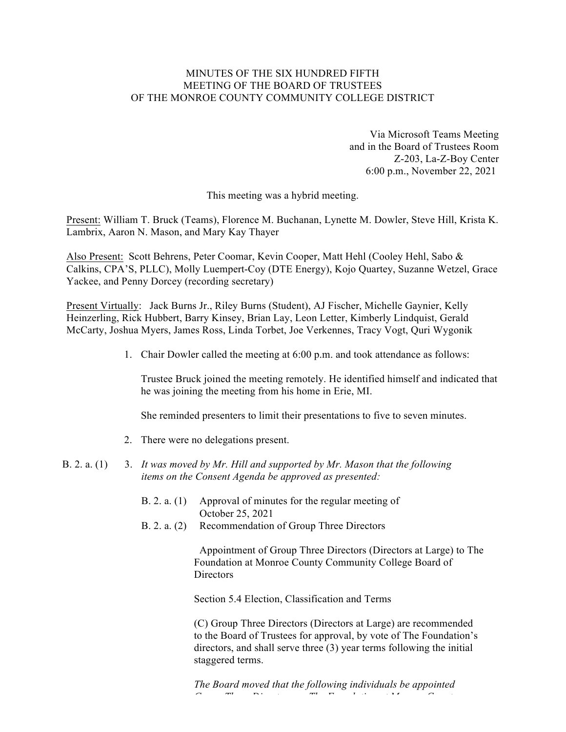# MINUTES OF THE SIX HUNDRED FIFTH MEETING OF THE BOARD OF TRUSTEES OF THE MONROE COUNTY COMMUNITY COLLEGE DISTRICT

Via Microsoft Teams Meeting and in the Board of Trustees Room Z-203, La-Z-Boy Center 6:00 p.m., November 22, 2021

This meeting was a hybrid meeting.

Present: William T. Bruck (Teams), Florence M. Buchanan, Lynette M. Dowler, Steve Hill, Krista K. Lambrix, Aaron N. Mason, and Mary Kay Thayer

Also Present: Scott Behrens, Peter Coomar, Kevin Cooper, Matt Hehl (Cooley Hehl, Sabo & Calkins, CPA'S, PLLC), Molly Luempert-Coy (DTE Energy), Kojo Quartey, Suzanne Wetzel, Grace Yackee, and Penny Dorcey (recording secretary)

Present Virtually: Jack Burns Jr., Riley Burns (Student), AJ Fischer, Michelle Gaynier, Kelly Heinzerling, Rick Hubbert, Barry Kinsey, Brian Lay, Leon Letter, Kimberly Lindquist, Gerald McCarty, Joshua Myers, James Ross, Linda Torbet, Joe Verkennes, Tracy Vogt, Quri Wygonik

1. Chair Dowler called the meeting at 6:00 p.m. and took attendance as follows:

Trustee Bruck joined the meeting remotely. He identified himself and indicated that he was joining the meeting from his home in Erie, MI.

She reminded presenters to limit their presentations to five to seven minutes.

- 2. There were no delegations present.
- B. 2. a. (1) 3. *It was moved by Mr. Hill and supported by Mr. Mason that the following items on the Consent Agenda be approved as presented:*
	- B. 2. a. (1) Approval of minutes for the regular meeting of October 25, 2021
	- B. 2. a. (2) Recommendation of Group Three Directors

Appointment of Group Three Directors (Directors at Large) to The Foundation at Monroe County Community College Board of **Directors** 

Section 5.4 Election, Classification and Terms

 (C) Group Three Directors (Directors at Large) are recommended to the Board of Trustees for approval, by vote of The Foundation's directors, and shall serve three (3) year terms following the initial staggered terms.

 *The Board moved that the following individuals be appointed Group Three Directors on The Foundation at Monroe County*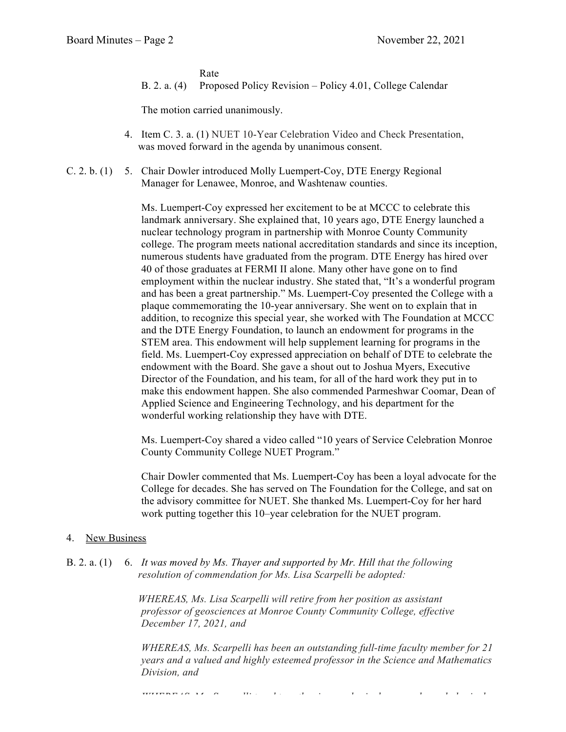Rate

B. 2. a. (4) Proposed Policy Revision – Policy 4.01, College Calendar

The motion carried unanimously.

- 4. Item C. 3. a. (1) NUET 10-Year Celebration Video and Check Presentation, was moved forward in the agenda by unanimous consent.
- C. 2. b. (1) 5. Chair Dowler introduced Molly Luempert-Coy, DTE Energy Regional Manager for Lenawee, Monroe, and Washtenaw counties.

Ms. Luempert-Coy expressed her excitement to be at MCCC to celebrate this landmark anniversary. She explained that, 10 years ago, DTE Energy launched a nuclear technology program in partnership with Monroe County Community college. The program meets national accreditation standards and since its inception, numerous students have graduated from the program. DTE Energy has hired over 40 of those graduates at FERMI II alone. Many other have gone on to find employment within the nuclear industry. She stated that, "It's a wonderful program and has been a great partnership." Ms. Luempert-Coy presented the College with a plaque commemorating the 10-year anniversary. She went on to explain that in addition, to recognize this special year, she worked with The Foundation at MCCC and the DTE Energy Foundation, to launch an endowment for programs in the STEM area. This endowment will help supplement learning for programs in the field. Ms. Luempert-Coy expressed appreciation on behalf of DTE to celebrate the endowment with the Board. She gave a shout out to Joshua Myers, Executive Director of the Foundation, and his team, for all of the hard work they put in to make this endowment happen. She also commended Parmeshwar Coomar, Dean of Applied Science and Engineering Technology, and his department for the wonderful working relationship they have with DTE.

Ms. Luempert-Coy shared a video called "10 years of Service Celebration Monroe County Community College NUET Program."

Chair Dowler commented that Ms. Luempert-Coy has been a loyal advocate for the College for decades. She has served on The Foundation for the College, and sat on the advisory committee for NUET. She thanked Ms. Luempert-Coy for her hard work putting together this 10–year celebration for the NUET program.

## 4. New Business

B. 2. a. (1) 6. *It was moved by Ms. Thayer and supported by Mr. Hill that the following resolution of commendation for Ms. Lisa Scarpelli be adopted:*

> *WHEREAS, Ms. Lisa Scarpelli will retire from her position as assistant professor of geosciences at Monroe County Community College, effective December 17, 2021, and*

*WHEREAS, Ms. Scarpelli has been an outstanding full-time faculty member for 21 years and a valued and highly esteemed professor in the Science and Mathematics Division, and*

*WHEREAS, Ms. Scarpelli taught earth science, physical geography and physical*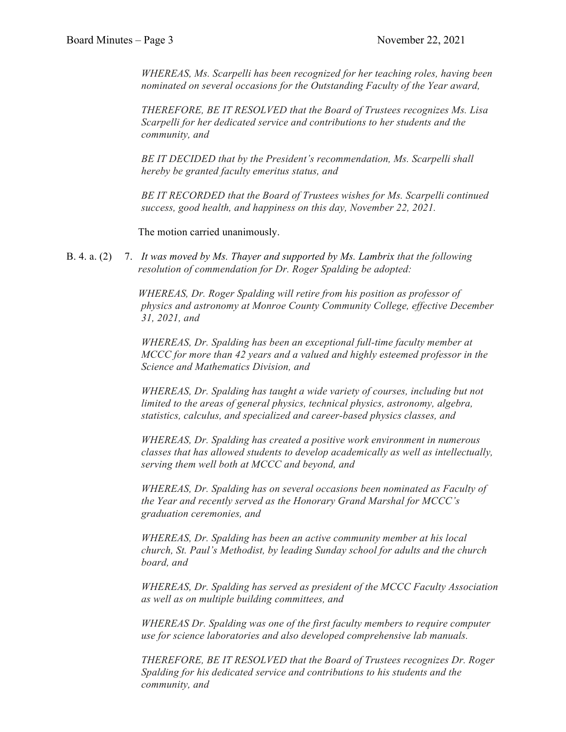*WHEREAS, Ms. Scarpelli has been recognized for her teaching roles, having been nominated on several occasions for the Outstanding Faculty of the Year award,*

*THEREFORE, BE IT RESOLVED that the Board of Trustees recognizes Ms. Lisa Scarpelli for her dedicated service and contributions to her students and the community, and*

*BE IT DECIDED that by the President's recommendation, Ms. Scarpelli shall hereby be granted faculty emeritus status, and*

*BE IT RECORDED that the Board of Trustees wishes for Ms. Scarpelli continued success, good health, and happiness on this day, November 22, 2021.*

The motion carried unanimously.

B. 4. a. (2) 7. *It was moved by Ms. Thayer and supported by Ms. Lambrix that the following resolution of commendation for Dr. Roger Spalding be adopted:*

> *WHEREAS, Dr. Roger Spalding will retire from his position as professor of physics and astronomy at Monroe County Community College, effective December 31, 2021, and*

*WHEREAS, Dr. Spalding has been an exceptional full-time faculty member at MCCC for more than 42 years and a valued and highly esteemed professor in the Science and Mathematics Division, and*

*WHEREAS, Dr. Spalding has taught a wide variety of courses, including but not limited to the areas of general physics, technical physics, astronomy, algebra, statistics, calculus, and specialized and career-based physics classes, and*

*WHEREAS, Dr. Spalding has created a positive work environment in numerous classes that has allowed students to develop academically as well as intellectually, serving them well both at MCCC and beyond, and*

*WHEREAS, Dr. Spalding has on several occasions been nominated as Faculty of the Year and recently served as the Honorary Grand Marshal for MCCC's graduation ceremonies, and*

*WHEREAS, Dr. Spalding has been an active community member at his local church, St. Paul's Methodist, by leading Sunday school for adults and the church board, and*

*WHEREAS, Dr. Spalding has served as president of the MCCC Faculty Association as well as on multiple building committees, and*

*WHEREAS Dr. Spalding was one of the first faculty members to require computer use for science laboratories and also developed comprehensive lab manuals.*

*THEREFORE, BE IT RESOLVED that the Board of Trustees recognizes Dr. Roger Spalding for his dedicated service and contributions to his students and the community, and*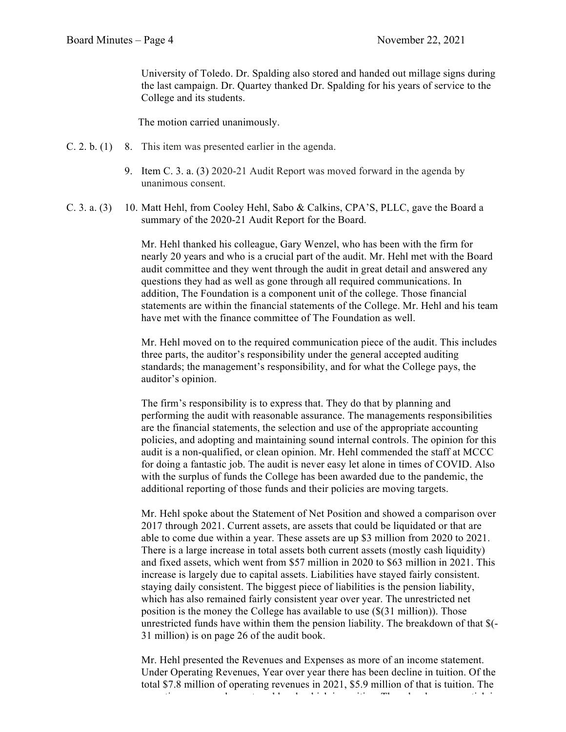University of Toledo. Dr. Spalding also stored and handed out millage signs during the last campaign. Dr. Quartey thanked Dr. Spalding for his years of service to the College and its students.

The motion carried unanimously.

- C. 2. b. (1) 8. This item was presented earlier in the agenda.
	- 9. Item C. 3. a. (3) 2020-21 Audit Report was moved forward in the agenda by unanimous consent.
- C. 3. a. (3) 10. Matt Hehl, from Cooley Hehl, Sabo & Calkins, CPA'S, PLLC, gave the Board a summary of the 2020-21 Audit Report for the Board.

Mr. Hehl thanked his colleague, Gary Wenzel, who has been with the firm for nearly 20 years and who is a crucial part of the audit. Mr. Hehl met with the Board audit committee and they went through the audit in great detail and answered any questions they had as well as gone through all required communications. In addition, The Foundation is a component unit of the college. Those financial statements are within the financial statements of the College. Mr. Hehl and his team have met with the finance committee of The Foundation as well.

Mr. Hehl moved on to the required communication piece of the audit. This includes three parts, the auditor's responsibility under the general accepted auditing standards; the management's responsibility, and for what the College pays, the auditor's opinion.

The firm's responsibility is to express that. They do that by planning and performing the audit with reasonable assurance. The managements responsibilities are the financial statements, the selection and use of the appropriate accounting policies, and adopting and maintaining sound internal controls. The opinion for this audit is a non-qualified, or clean opinion. Mr. Hehl commended the staff at MCCC for doing a fantastic job. The audit is never easy let alone in times of COVID. Also with the surplus of funds the College has been awarded due to the pandemic, the additional reporting of those funds and their policies are moving targets.

Mr. Hehl spoke about the Statement of Net Position and showed a comparison over 2017 through 2021. Current assets, are assets that could be liquidated or that are able to come due within a year. These assets are up \$3 million from 2020 to 2021. There is a large increase in total assets both current assets (mostly cash liquidity) and fixed assets, which went from \$57 million in 2020 to \$63 million in 2021. This increase is largely due to capital assets. Liabilities have stayed fairly consistent. staying daily consistent. The biggest piece of liabilities is the pension liability, which has also remained fairly consistent year over year. The unrestricted net position is the money the College has available to use (\$(31 million)). Those unrestricted funds have within them the pension liability. The breakdown of that \$(- 31 million) is on page 26 of the audit book.

Mr. Hehl presented the Revenues and Expenses as more of an income statement. Under Operating Revenues, Year over year there has been decline in tuition. Of the total \$7.8 million of operating revenues in 2021, \$5.9 million of that is tuition. The  $\alpha$  operating expenses have stayed level, which is positive. There has been an uptick in uptick in uptick in uptick in  $\alpha$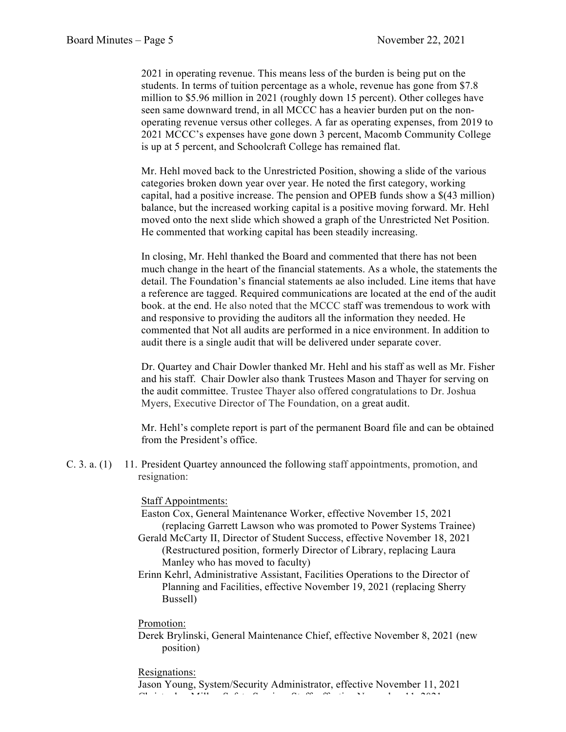2021 in operating revenue. This means less of the burden is being put on the students. In terms of tuition percentage as a whole, revenue has gone from \$7.8 million to \$5.96 million in 2021 (roughly down 15 percent). Other colleges have seen same downward trend, in all MCCC has a heavier burden put on the nonoperating revenue versus other colleges. A far as operating expenses, from 2019 to 2021 MCCC's expenses have gone down 3 percent, Macomb Community College is up at 5 percent, and Schoolcraft College has remained flat.

Mr. Hehl moved back to the Unrestricted Position, showing a slide of the various categories broken down year over year. He noted the first category, working capital, had a positive increase. The pension and OPEB funds show a \$(43 million) balance, but the increased working capital is a positive moving forward. Mr. Hehl moved onto the next slide which showed a graph of the Unrestricted Net Position. He commented that working capital has been steadily increasing.

In closing, Mr. Hehl thanked the Board and commented that there has not been much change in the heart of the financial statements. As a whole, the statements the detail. The Foundation's financial statements ae also included. Line items that have a reference are tagged. Required communications are located at the end of the audit book. at the end. He also noted that the MCCC staff was tremendous to work with and responsive to providing the auditors all the information they needed. He commented that Not all audits are performed in a nice environment. In addition to audit there is a single audit that will be delivered under separate cover.

Dr. Quartey and Chair Dowler thanked Mr. Hehl and his staff as well as Mr. Fisher and his staff. Chair Dowler also thank Trustees Mason and Thayer for serving on the audit committee. Trustee Thayer also offered congratulations to Dr. Joshua Myers, Executive Director of The Foundation, on a great audit.

Mr. Hehl's complete report is part of the permanent Board file and can be obtained from the President's office.

C. 3. a. (1) 11. President Quartey announced the following staff appointments, promotion, and resignation:

## Staff Appointments:

- Easton Cox, General Maintenance Worker, effective November 15, 2021 (replacing Garrett Lawson who was promoted to Power Systems Trainee)
- Gerald McCarty II, Director of Student Success, effective November 18, 2021 (Restructured position, formerly Director of Library, replacing Laura Manley who has moved to faculty)
- Erinn Kehrl, Administrative Assistant, Facilities Operations to the Director of Planning and Facilities, effective November 19, 2021 (replacing Sherry Bussell)

#### Promotion:

 Derek Brylinski, General Maintenance Chief, effective November 8, 2021 (new position)

#### Resignations:

 Jason Young, System/Security Administrator, effective November 11, 2021  $\alpha$  is the Miller Miller, Safety State State State  $\alpha$   $\alpha$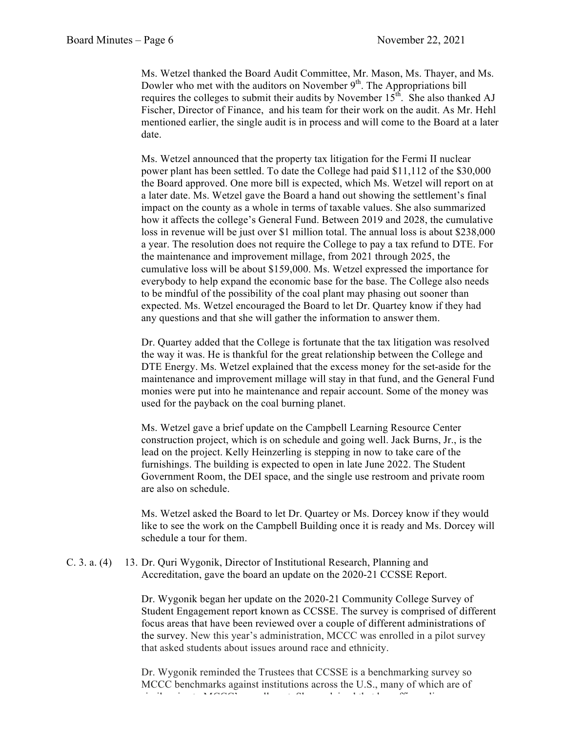Ms. Wetzel thanked the Board Audit Committee, Mr. Mason, Ms. Thayer, and Ms. Dowler who met with the auditors on November  $9<sup>th</sup>$ . The Appropriations bill requires the colleges to submit their audits by November  $15<sup>th</sup>$ . She also thanked AJ Fischer, Director of Finance, and his team for their work on the audit. As Mr. Hehl mentioned earlier, the single audit is in process and will come to the Board at a later date.

Ms. Wetzel announced that the property tax litigation for the Fermi II nuclear power plant has been settled. To date the College had paid \$11,112 of the \$30,000 the Board approved. One more bill is expected, which Ms. Wetzel will report on at a later date. Ms. Wetzel gave the Board a hand out showing the settlement's final impact on the county as a whole in terms of taxable values. She also summarized how it affects the college's General Fund. Between 2019 and 2028, the cumulative loss in revenue will be just over \$1 million total. The annual loss is about \$238,000 a year. The resolution does not require the College to pay a tax refund to DTE. For the maintenance and improvement millage, from 2021 through 2025, the cumulative loss will be about \$159,000. Ms. Wetzel expressed the importance for everybody to help expand the economic base for the base. The College also needs to be mindful of the possibility of the coal plant may phasing out sooner than expected. Ms. Wetzel encouraged the Board to let Dr. Quartey know if they had any questions and that she will gather the information to answer them.

Dr. Quartey added that the College is fortunate that the tax litigation was resolved the way it was. He is thankful for the great relationship between the College and DTE Energy. Ms. Wetzel explained that the excess money for the set-aside for the maintenance and improvement millage will stay in that fund, and the General Fund monies were put into he maintenance and repair account. Some of the money was used for the payback on the coal burning planet.

Ms. Wetzel gave a brief update on the Campbell Learning Resource Center construction project, which is on schedule and going well. Jack Burns, Jr., is the lead on the project. Kelly Heinzerling is stepping in now to take care of the furnishings. The building is expected to open in late June 2022. The Student Government Room, the DEI space, and the single use restroom and private room are also on schedule.

Ms. Wetzel asked the Board to let Dr. Quartey or Ms. Dorcey know if they would like to see the work on the Campbell Building once it is ready and Ms. Dorcey will schedule a tour for them.

C. 3. a. (4) 13. Dr. Quri Wygonik, Director of Institutional Research, Planning and Accreditation, gave the board an update on the 2020-21 CCSSE Report.

> Dr. Wygonik began her update on the 2020-21 Community College Survey of Student Engagement report known as CCSSE. The survey is comprised of different focus areas that have been reviewed over a couple of different administrations of the survey. New this year's administration, MCCC was enrolled in a pilot survey that asked students about issues around race and ethnicity.

Dr. Wygonik reminded the Trustees that CCSSE is a benchmarking survey so MCCC benchmarks against institutions across the U.S., many of which are of  $s$  in the matrix size to  $\frac{1}{2}$  enrollment. She explained that  $\frac{1}{2}$  of  $\frac{1}{2}$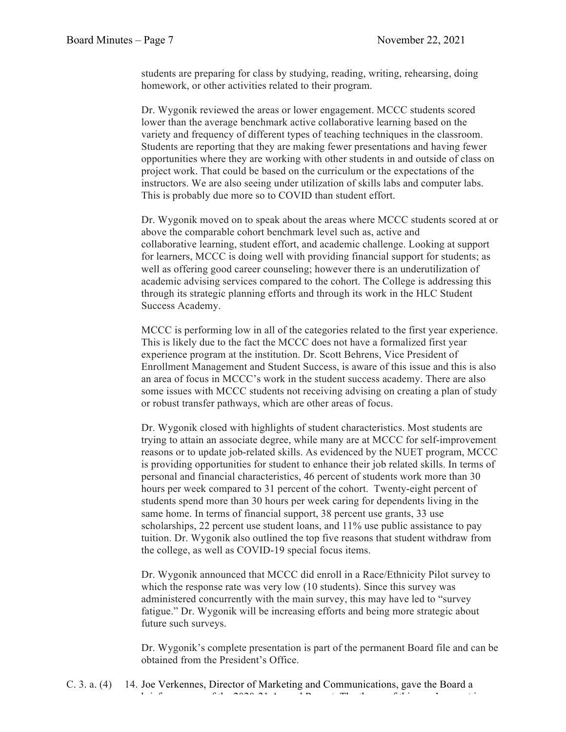students are preparing for class by studying, reading, writing, rehearsing, doing homework, or other activities related to their program.

Dr. Wygonik reviewed the areas or lower engagement. MCCC students scored lower than the average benchmark active collaborative learning based on the variety and frequency of different types of teaching techniques in the classroom. Students are reporting that they are making fewer presentations and having fewer opportunities where they are working with other students in and outside of class on project work. That could be based on the curriculum or the expectations of the instructors. We are also seeing under utilization of skills labs and computer labs. This is probably due more so to COVID than student effort.

Dr. Wygonik moved on to speak about the areas where MCCC students scored at or above the comparable cohort benchmark level such as, active and collaborative learning, student effort, and academic challenge. Looking at support for learners, MCCC is doing well with providing financial support for students; as well as offering good career counseling; however there is an underutilization of academic advising services compared to the cohort. The College is addressing this through its strategic planning efforts and through its work in the HLC Student Success Academy.

MCCC is performing low in all of the categories related to the first year experience. This is likely due to the fact the MCCC does not have a formalized first year experience program at the institution. Dr. Scott Behrens, Vice President of Enrollment Management and Student Success, is aware of this issue and this is also an area of focus in MCCC's work in the student success academy. There are also some issues with MCCC students not receiving advising on creating a plan of study or robust transfer pathways, which are other areas of focus.

Dr. Wygonik closed with highlights of student characteristics. Most students are trying to attain an associate degree, while many are at MCCC for self-improvement reasons or to update job-related skills. As evidenced by the NUET program, MCCC is providing opportunities for student to enhance their job related skills. In terms of personal and financial characteristics, 46 percent of students work more than 30 hours per week compared to 31 percent of the cohort. Twenty-eight percent of students spend more than 30 hours per week caring for dependents living in the same home. In terms of financial support, 38 percent use grants, 33 use scholarships, 22 percent use student loans, and 11% use public assistance to pay tuition. Dr. Wygonik also outlined the top five reasons that student withdraw from the college, as well as COVID-19 special focus items.

Dr. Wygonik announced that MCCC did enroll in a Race/Ethnicity Pilot survey to which the response rate was very low (10 students). Since this survey was administered concurrently with the main survey, this may have led to "survey fatigue." Dr. Wygonik will be increasing efforts and being more strategic about future such surveys.

Dr. Wygonik's complete presentation is part of the permanent Board file and can be obtained from the President's Office.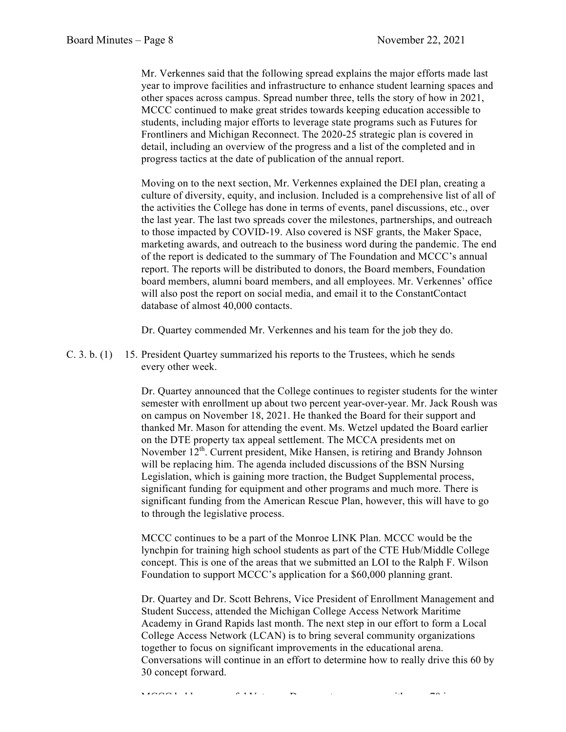Mr. Verkennes said that the following spread explains the major efforts made last year to improve facilities and infrastructure to enhance student learning spaces and other spaces across campus. Spread number three, tells the story of how in 2021, MCCC continued to make great strides towards keeping education accessible to students, including major efforts to leverage state programs such as Futures for Frontliners and Michigan Reconnect. The 2020-25 strategic plan is covered in detail, including an overview of the progress and a list of the completed and in progress tactics at the date of publication of the annual report.

Moving on to the next section, Mr. Verkennes explained the DEI plan, creating a culture of diversity, equity, and inclusion. Included is a comprehensive list of all of the activities the College has done in terms of events, panel discussions, etc., over the last year. The last two spreads cover the milestones, partnerships, and outreach to those impacted by COVID-19. Also covered is NSF grants, the Maker Space, marketing awards, and outreach to the business word during the pandemic. The end of the report is dedicated to the summary of The Foundation and MCCC's annual report. The reports will be distributed to donors, the Board members, Foundation board members, alumni board members, and all employees. Mr. Verkennes' office will also post the report on social media, and email it to the ConstantContact database of almost 40,000 contacts.

Dr. Quartey commended Mr. Verkennes and his team for the job they do.

C. 3. b. (1) 15. President Quartey summarized his reports to the Trustees, which he sends every other week.

> Dr. Quartey announced that the College continues to register students for the winter semester with enrollment up about two percent year-over-year. Mr. Jack Roush was on campus on November 18, 2021. He thanked the Board for their support and thanked Mr. Mason for attending the event. Ms. Wetzel updated the Board earlier on the DTE property tax appeal settlement. The MCCA presidents met on November 12<sup>th</sup>. Current president, Mike Hansen, is retiring and Brandy Johnson will be replacing him. The agenda included discussions of the BSN Nursing Legislation, which is gaining more traction, the Budget Supplemental process, significant funding for equipment and other programs and much more. There is significant funding from the American Rescue Plan, however, this will have to go to through the legislative process.

MCCC continues to be a part of the Monroe LINK Plan. MCCC would be the lynchpin for training high school students as part of the CTE Hub/Middle College concept. This is one of the areas that we submitted an LOI to the Ralph F. Wilson Foundation to support MCCC's application for a \$60,000 planning grant.

Dr. Quartey and Dr. Scott Behrens, Vice President of Enrollment Management and Student Success, attended the Michigan College Access Network Maritime Academy in Grand Rapids last month. The next step in our effort to form a Local College Access Network (LCAN) is to bring several community organizations together to focus on significant improvements in the educational arena. Conversations will continue in an effort to determine how to really drive this 60 by 30 concept forward.

MCCCC held a successful Veterans Day event on campus, with one  $\mathcal{P}(\mathcal{A})$